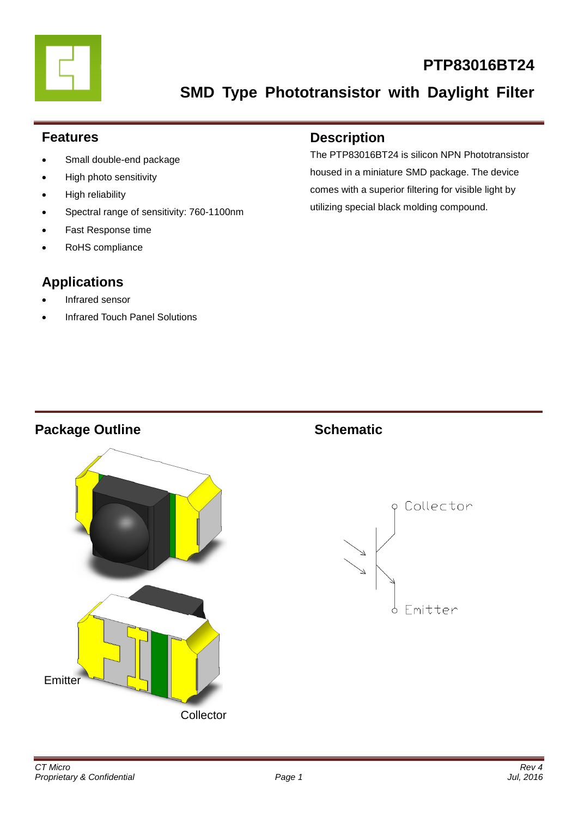

### **PTP83016BT24**

**SMD Type Phototransistor with Daylight Filter**

### **Features**

- Small double-end package
- High photo sensitivity
- High reliability
- Spectral range of sensitivity: 760-1100nm
- Fast Response time
- RoHS compliance

### **Applications**

- Infrared sensor
- Infrared Touch Panel Solutions

### **Description**

The PTP83016BT24 is silicon NPN Phototransistor housed in a miniature SMD package. The device comes with a superior filtering for visible light by utilizing special black molding compound.

### **Package Outline Schematic**



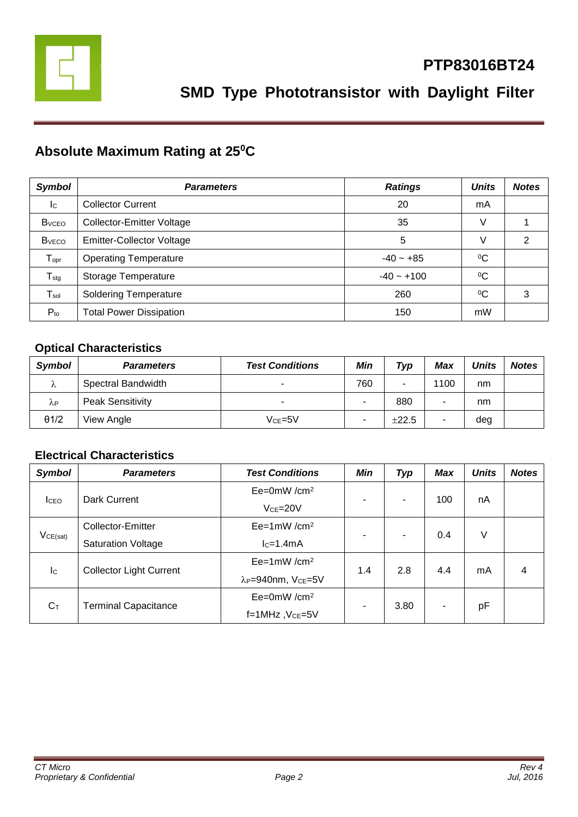

### **Absolute Maximum Rating at 25<sup>0</sup>C**

| <b>Symbol</b>                | <b>Parameters</b>                | <b>Ratings</b> | <b>Units</b> | <b>Notes</b> |
|------------------------------|----------------------------------|----------------|--------------|--------------|
| Ic                           | <b>Collector Current</b>         | 20             | mA           |              |
| <b>B</b> <sub>vCEO</sub>     | <b>Collector-Emitter Voltage</b> | 35             | V            |              |
| <b>B</b> <sub>vECO</sub>     | <b>Emitter-Collector Voltage</b> | 5              | V            | 2            |
| ${\mathsf T}_{\mathsf{opr}}$ | <b>Operating Temperature</b>     | $-40 - +85$    | $^{0}C$      |              |
| $T_{\text{stg}}$             | Storage Temperature              | $-40 - +100$   | $^{0}C$      |              |
| $\mathsf{T}_{\mathsf{sol}}$  | <b>Soldering Temperature</b>     | 260            | $\rm ^{0}C$  | 3            |
| $P_{to}$                     | <b>Total Power Dissipation</b>   | 150            | mW           |              |

### **Optical Characteristics**

| <b>Symbol</b> | <b>Parameters</b>       | <b>Test Conditions</b> | Min | Typ   | Max  | <b>Units</b> | <b>Notes</b> |
|---------------|-------------------------|------------------------|-----|-------|------|--------------|--------------|
| Λ             | Spectral Bandwidth      | -                      | 760 | -     | 1100 | nm           |              |
| λP            | <b>Peak Sensitivity</b> | -                      | -   | 880   |      | nm           |              |
| $\theta$ 1/2  | View Angle              | $Vce = 5V$             | ۰   | ±22.5 | ۰    | deg          |              |

#### **Electrical Characteristics**

| <b>Symbol</b>             | <b>Parameters</b>              | <b>Test Conditions</b>                     | <b>Min</b> | <b>Typ</b> | <b>Max</b> | <b>Units</b> | <b>Notes</b> |
|---------------------------|--------------------------------|--------------------------------------------|------------|------------|------------|--------------|--------------|
| <b>I</b> CEO              | Dark Current                   | $Ee=0mW/cm^2$                              | ۰          | ۰          | 100        | nA           |              |
|                           |                                | $VCE = 20V$                                |            |            |            |              |              |
| VCE(sat)                  | Collector-Emitter              | $Ee=1mW/cm^2$                              | ۰          | -          | 0.4        | V            |              |
|                           | <b>Saturation Voltage</b>      | $lc=1.4mA$                                 |            |            |            |              |              |
| $\mathsf{I}_{\mathsf{C}}$ | <b>Collector Light Current</b> | $Ee=1mW/cm^2$                              | 1.4        | 2.8        | 4.4        | mA           | 4            |
|                           |                                | λ <sub>P</sub> =940nm, V <sub>CE</sub> =5V |            |            |            |              |              |
| $C_T$                     | <b>Terminal Capacitance</b>    | $Ee=0mW/cm^2$                              | ۰          | 3.80       | ۰          |              |              |
|                           |                                | f=1MHz, VcE=5V                             |            |            |            | pF           |              |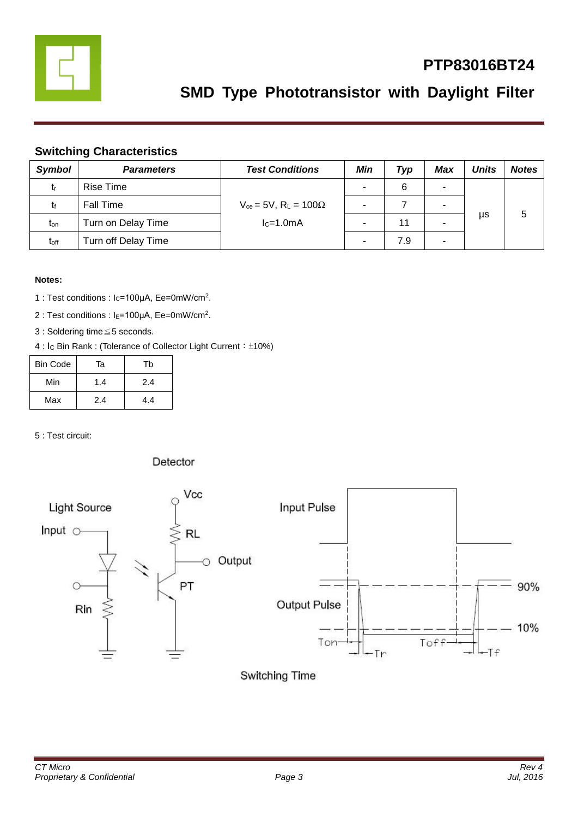

### **PTP83016BT24**

### **SMD Type Phototransistor with Daylight Filter**

#### **Switching Characteristics**

| <b>Symbol</b>    | <b>Parameters</b>   | <b>Test Conditions</b>                                     | Min | Typ | <b>Max</b> | Units | <b>Notes</b> |
|------------------|---------------------|------------------------------------------------------------|-----|-----|------------|-------|--------------|
| tr               | Rise Time           | $V_{ce}$ = 5V, R <sub>L</sub> = 100 $\Omega$<br>$lc=1.0mA$ | ۰   | 6   | ۰          |       |              |
|                  | <b>Fall Time</b>    |                                                            |     |     |            |       |              |
| $t_{on}$         | Turn on Delay Time  |                                                            |     | 11  | -          | μs    | 5            |
| t <sub>off</sub> | Turn off Delay Time |                                                            |     | 7.9 | -          |       |              |

#### **Notes:**

- 1 : Test conditions : Ic=100μA, Ee=0mW/cm<sup>2</sup>.
- 2 : Test conditions : I<sub>E</sub>=100μA, Ee=0mW/cm<sup>2</sup>.
- 3 : Soldering time≦5 seconds.
- 4 : Ic Bin Rank : (Tolerance of Collector Light Current: ±10%)

| Bin Code | Та  | Tb  |
|----------|-----|-----|
| Min      | 1.4 | 2.4 |
| Max      | 2.4 | 4.4 |

5 : Test circuit:

#### Detector



Switching Time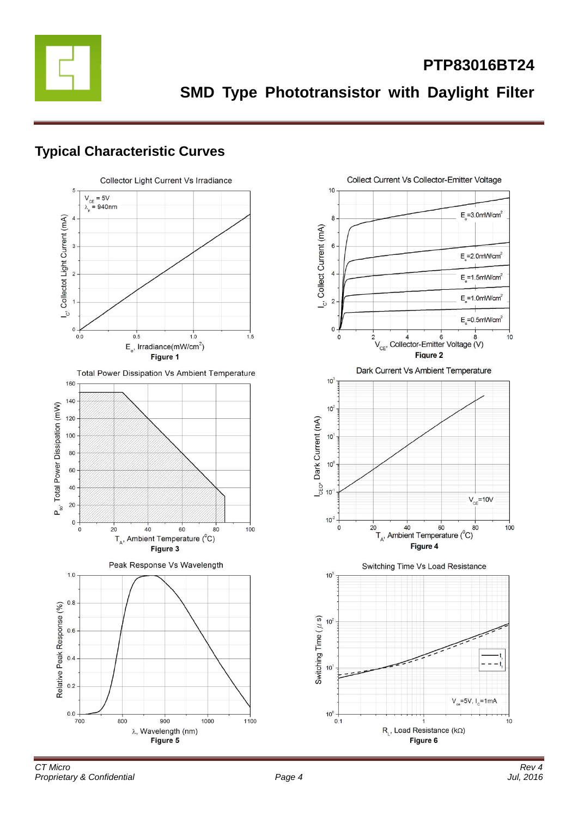

**SMD Type Phototransistor with Daylight Filter**

### **Typical Characteristic Curves**

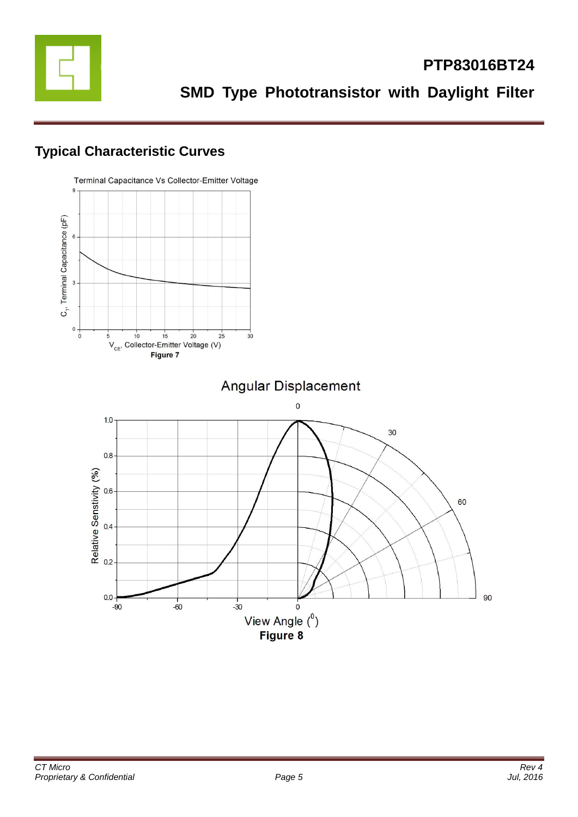

### **Typical Characteristic Curves**

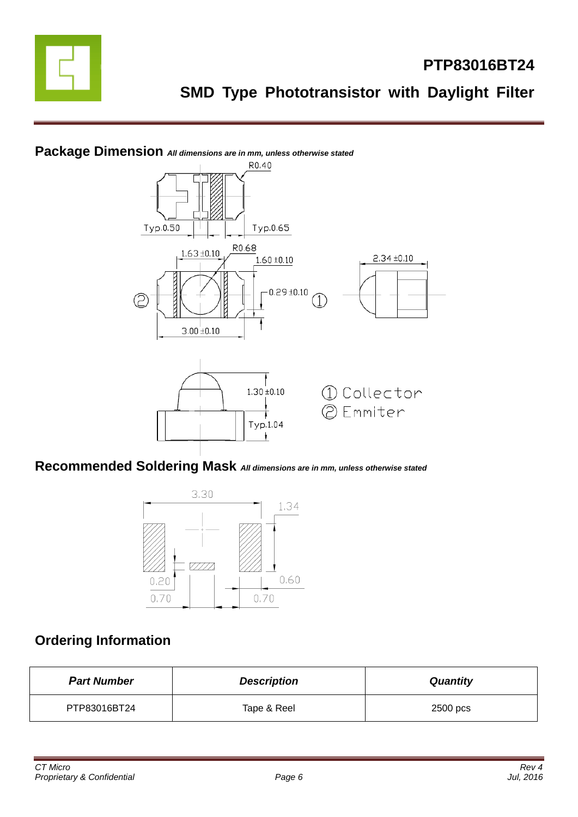



# **Package Dimension** *All dimensions are in mm, unless otherwise stated*

### **Recommended Soldering Mask** *All dimensions are in mm, unless otherwise stated*



### **Ordering Information**

| <b>Part Number</b> | <b>Description</b> | <b>Quantity</b> |
|--------------------|--------------------|-----------------|
| PTP83016BT24       | Tape & Reel        | 2500 pcs        |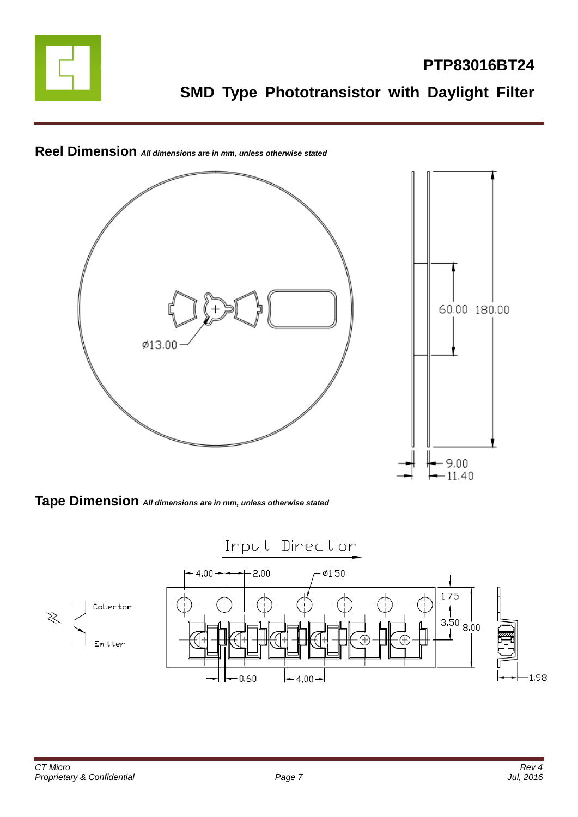



### **Reel Dimension** *All dimensions are in mm, unless otherwise stated*

**Tape Dimension** *All dimensions are in mm, unless otherwise stated*

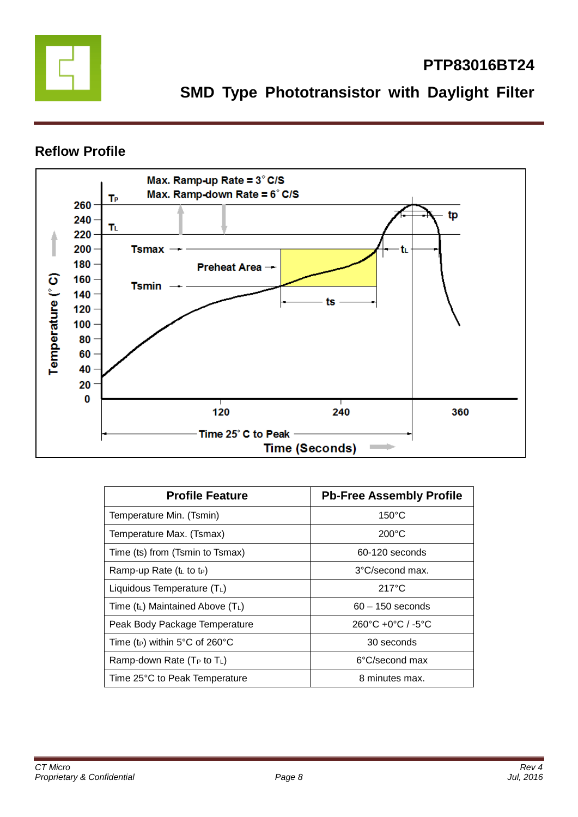

### **PTP83016BT24**

**SMD Type Phototransistor with Daylight Filter**

### **Reflow Profile**



| <b>Profile Feature</b>                     | <b>Pb-Free Assembly Profile</b>                   |
|--------------------------------------------|---------------------------------------------------|
| Temperature Min. (Tsmin)                   | $150^{\circ}$ C                                   |
| Temperature Max. (Tsmax)                   | $200^{\circ}$ C                                   |
| Time (ts) from (Tsmin to Tsmax)            | 60-120 seconds                                    |
| Ramp-up Rate $(tL$ to t <sub>P</sub> )     | 3°C/second max.                                   |
| Liquidous Temperature (TL)                 | $217^{\circ}$ C                                   |
| Time $(t_L)$ Maintained Above $(T_L)$      | $60 - 150$ seconds                                |
| Peak Body Package Temperature              | $260^{\circ}$ C +0 $^{\circ}$ C / -5 $^{\circ}$ C |
| Time (t <sub>P</sub> ) within 5°C of 260°C | 30 seconds                                        |
| Ramp-down Rate ( $T_P$ to $T_L$ )          | 6°C/second max                                    |
| Time 25°C to Peak Temperature              | 8 minutes max.                                    |